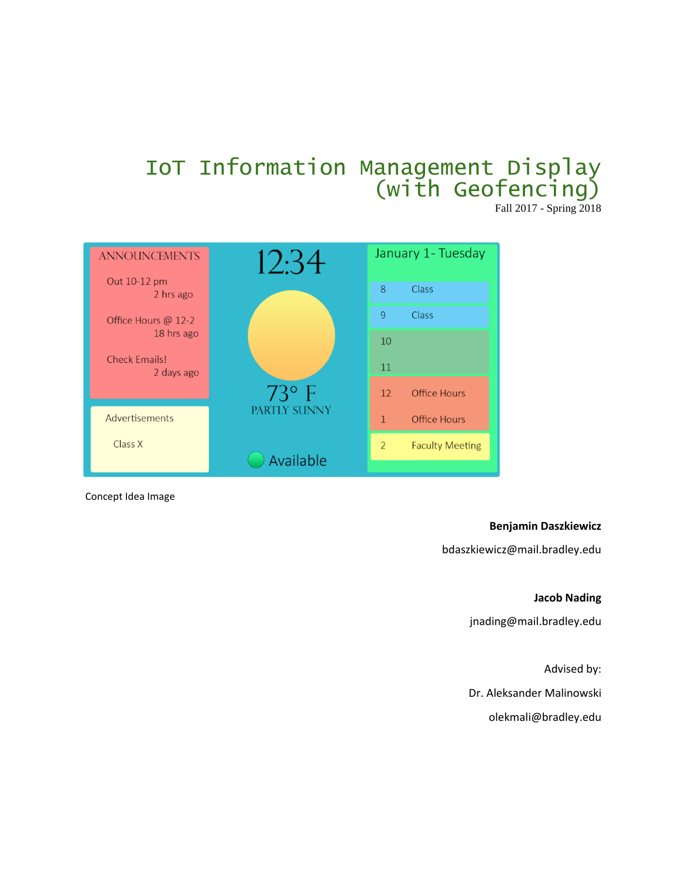# IoT Information Management Display (with Geofencing)

Fall 2017 - Spring 2018



Concept Idea Image

#### **Benjamin Daszkiewicz**

bdaszkiewicz@mail.bradley.edu

#### **Jacob Nading**

[jnading@mail.bradley.edu](mailto:jnading@mail.bradley.edu)

Advised by:

Dr. Aleksander Malinowski

olekmali@bradley.edu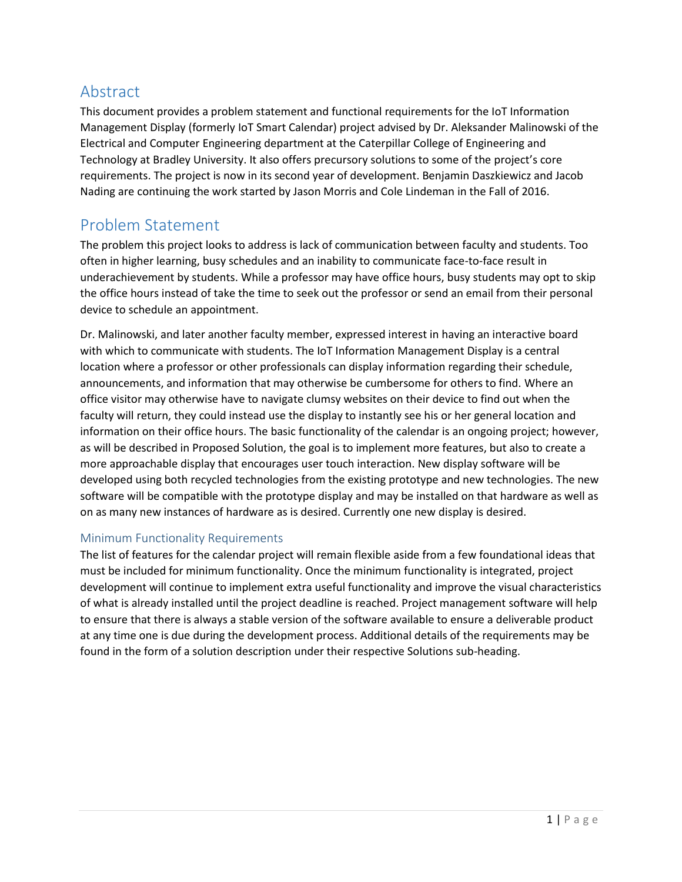# Abstract

This document provides a problem statement and functional requirements for the IoT Information Management Display (formerly IoT Smart Calendar) project advised by Dr. Aleksander Malinowski of the Electrical and Computer Engineering department at the Caterpillar College of Engineering and Technology at Bradley University. It also offers precursory solutions to some of the project's core requirements. The project is now in its second year of development. Benjamin Daszkiewicz and Jacob Nading are continuing the work started by Jason Morris and Cole Lindeman in the Fall of 2016.

# Problem Statement

The problem this project looks to address is lack of communication between faculty and students. Too often in higher learning, busy schedules and an inability to communicate face-to-face result in underachievement by students. While a professor may have office hours, busy students may opt to skip the office hours instead of take the time to seek out the professor or send an email from their personal device to schedule an appointment.

Dr. Malinowski, and later another faculty member, expressed interest in having an interactive board with which to communicate with students. The IoT Information Management Display is a central location where a professor or other professionals can display information regarding their schedule, announcements, and information that may otherwise be cumbersome for others to find. Where an office visitor may otherwise have to navigate clumsy websites on their device to find out when the faculty will return, they could instead use the display to instantly see his or her general location and information on their office hours. The basic functionality of the calendar is an ongoing project; however, as will be described in Proposed Solution, the goal is to implement more features, but also to create a more approachable display that encourages user touch interaction. New display software will be developed using both recycled technologies from the existing prototype and new technologies. The new software will be compatible with the prototype display and may be installed on that hardware as well as on as many new instances of hardware as is desired. Currently one new display is desired.

# Minimum Functionality Requirements

The list of features for the calendar project will remain flexible aside from a few foundational ideas that must be included for minimum functionality. Once the minimum functionality is integrated, project development will continue to implement extra useful functionality and improve the visual characteristics of what is already installed until the project deadline is reached. Project management software will help to ensure that there is always a stable version of the software available to ensure a deliverable product at any time one is due during the development process. Additional details of the requirements may be found in the form of a solution description under their respective Solutions sub-heading.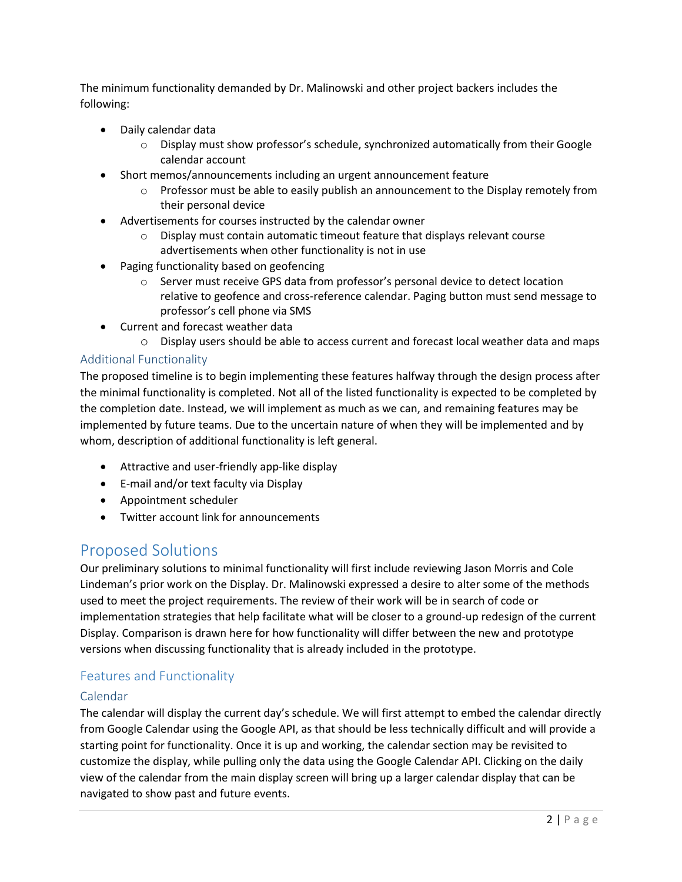The minimum functionality demanded by Dr. Malinowski and other project backers includes the following:

- Daily calendar data
	- $\circ$  Display must show professor's schedule, synchronized automatically from their Google calendar account
- Short memos/announcements including an urgent announcement feature
	- $\circ$  Professor must be able to easily publish an announcement to the Display remotely from their personal device
- Advertisements for courses instructed by the calendar owner
	- o Display must contain automatic timeout feature that displays relevant course advertisements when other functionality is not in use
- Paging functionality based on geofencing
	- $\circ$  Server must receive GPS data from professor's personal device to detect location relative to geofence and cross-reference calendar. Paging button must send message to professor's cell phone via SMS
- Current and forecast weather data
	- $\circ$  Display users should be able to access current and forecast local weather data and maps

### Additional Functionality

The proposed timeline is to begin implementing these features halfway through the design process after the minimal functionality is completed. Not all of the listed functionality is expected to be completed by the completion date. Instead, we will implement as much as we can, and remaining features may be implemented by future teams. Due to the uncertain nature of when they will be implemented and by whom, description of additional functionality is left general.

- Attractive and user-friendly app-like display
- E-mail and/or text faculty via Display
- Appointment scheduler
- Twitter account link for announcements

# Proposed Solutions

Our preliminary solutions to minimal functionality will first include reviewing Jason Morris and Cole Lindeman's prior work on the Display. Dr. Malinowski expressed a desire to alter some of the methods used to meet the project requirements. The review of their work will be in search of code or implementation strategies that help facilitate what will be closer to a ground-up redesign of the current Display. Comparison is drawn here for how functionality will differ between the new and prototype versions when discussing functionality that is already included in the prototype.

# Features and Functionality

#### Calendar

The calendar will display the current day's schedule. We will first attempt to embed the calendar directly from Google Calendar using the Google API, as that should be less technically difficult and will provide a starting point for functionality. Once it is up and working, the calendar section may be revisited to customize the display, while pulling only the data using the Google Calendar API. Clicking on the daily view of the calendar from the main display screen will bring up a larger calendar display that can be navigated to show past and future events.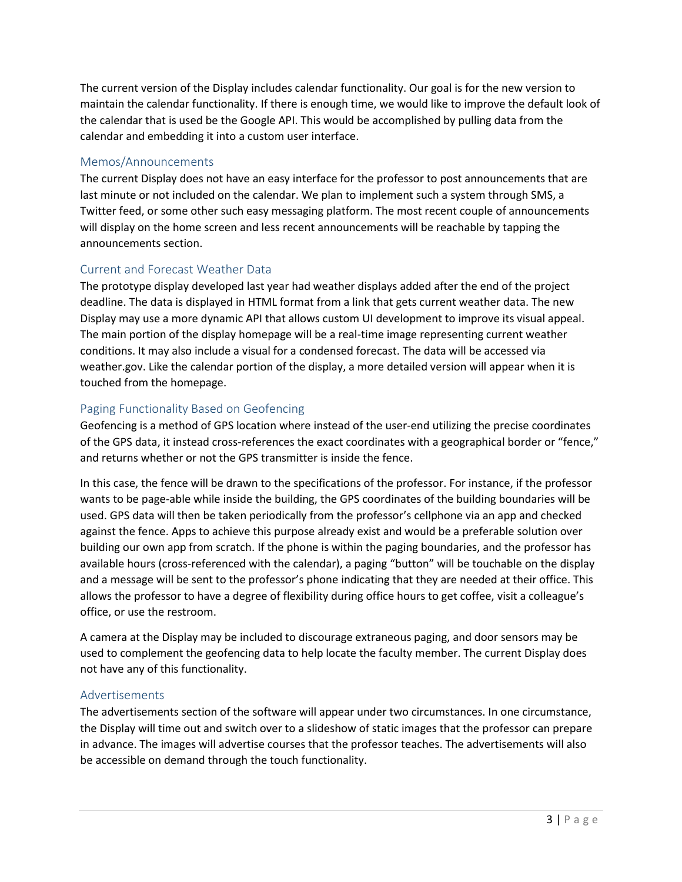The current version of the Display includes calendar functionality. Our goal is for the new version to maintain the calendar functionality. If there is enough time, we would like to improve the default look of the calendar that is used be the Google API. This would be accomplished by pulling data from the calendar and embedding it into a custom user interface.

### Memos/Announcements

The current Display does not have an easy interface for the professor to post announcements that are last minute or not included on the calendar. We plan to implement such a system through SMS, a Twitter feed, or some other such easy messaging platform. The most recent couple of announcements will display on the home screen and less recent announcements will be reachable by tapping the announcements section.

# Current and Forecast Weather Data

The prototype display developed last year had weather displays added after the end of the project deadline. The data is displayed in HTML format from a link that gets current weather data. The new Display may use a more dynamic API that allows custom UI development to improve its visual appeal. The main portion of the display homepage will be a real-time image representing current weather conditions. It may also include a visual for a condensed forecast. The data will be accessed via weather.gov. Like the calendar portion of the display, a more detailed version will appear when it is touched from the homepage.

### Paging Functionality Based on Geofencing

Geofencing is a method of GPS location where instead of the user-end utilizing the precise coordinates of the GPS data, it instead cross-references the exact coordinates with a geographical border or "fence," and returns whether or not the GPS transmitter is inside the fence.

In this case, the fence will be drawn to the specifications of the professor. For instance, if the professor wants to be page-able while inside the building, the GPS coordinates of the building boundaries will be used. GPS data will then be taken periodically from the professor's cellphone via an app and checked against the fence. Apps to achieve this purpose already exist and would be a preferable solution over building our own app from scratch. If the phone is within the paging boundaries, and the professor has available hours (cross-referenced with the calendar), a paging "button" will be touchable on the display and a message will be sent to the professor's phone indicating that they are needed at their office. This allows the professor to have a degree of flexibility during office hours to get coffee, visit a colleague's office, or use the restroom.

A camera at the Display may be included to discourage extraneous paging, and door sensors may be used to complement the geofencing data to help locate the faculty member. The current Display does not have any of this functionality.

#### Advertisements

The advertisements section of the software will appear under two circumstances. In one circumstance, the Display will time out and switch over to a slideshow of static images that the professor can prepare in advance. The images will advertise courses that the professor teaches. The advertisements will also be accessible on demand through the touch functionality.